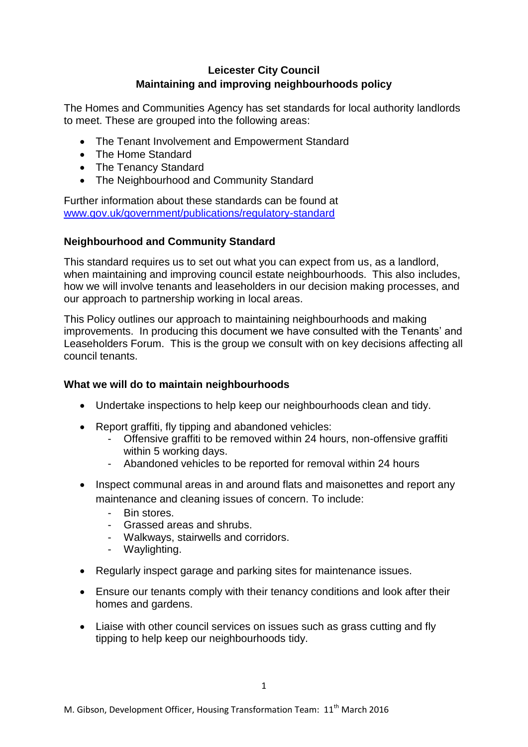# **Leicester City Council Maintaining and improving neighbourhoods policy**

The Homes and Communities Agency has set standards for local authority landlords to meet. These are grouped into the following areas:

- The Tenant Involvement and Empowerment Standard
- The Home Standard
- The Tenancy Standard
- The Neighbourhood and Community Standard

Further information about these standards can be found at [www.gov.uk/government/publications/regulatory-standard](http://www.gov.uk/government/publications/regulatory-standard)

## **Neighbourhood and Community Standard**

This standard requires us to set out what you can expect from us, as a landlord, when maintaining and improving council estate neighbourhoods. This also includes, how we will involve tenants and leaseholders in our decision making processes, and our approach to partnership working in local areas.

This Policy outlines our approach to maintaining neighbourhoods and making improvements. In producing this document we have consulted with the Tenants' and Leaseholders Forum. This is the group we consult with on key decisions affecting all council tenants.

### **What we will do to maintain neighbourhoods**

- Undertake inspections to help keep our neighbourhoods clean and tidy.
- Report graffiti, fly tipping and abandoned vehicles:
	- Offensive graffiti to be removed within 24 hours, non-offensive graffiti within 5 working days.
	- Abandoned vehicles to be reported for removal within 24 hours
- Inspect communal areas in and around flats and maisonettes and report any maintenance and cleaning issues of concern. To include:
	- Bin stores.
	- Grassed areas and shrubs.
	- Walkways, stairwells and corridors.
	- Waylighting.
- Regularly inspect garage and parking sites for maintenance issues.
- Ensure our tenants comply with their tenancy conditions and look after their homes and gardens.
- Liaise with other council services on issues such as grass cutting and fly tipping to help keep our neighbourhoods tidy.